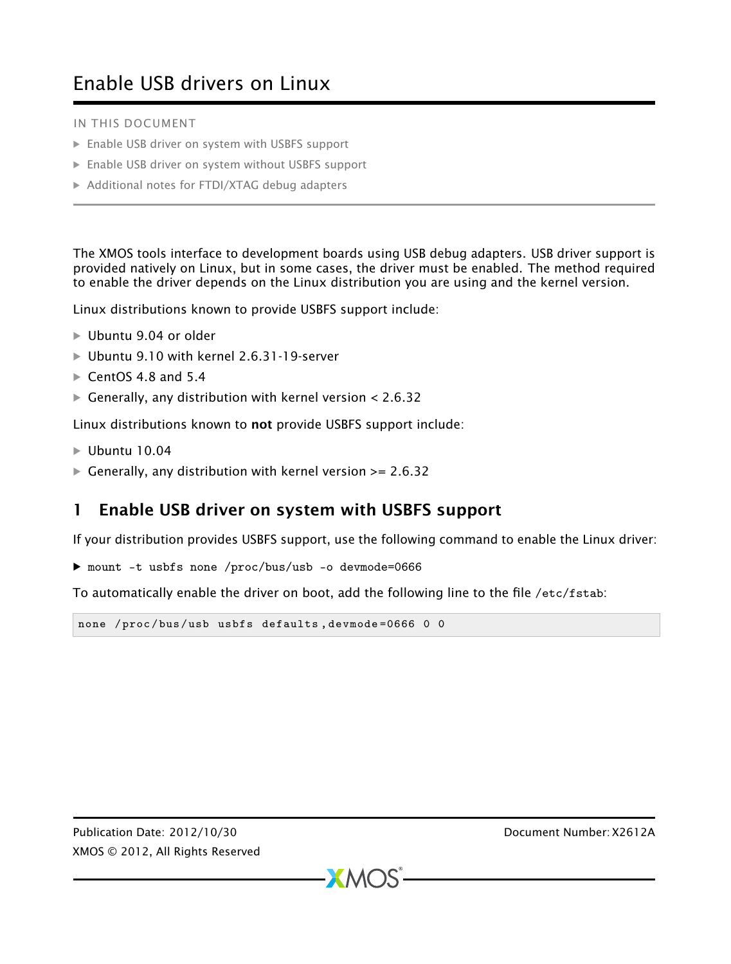## Enable USB drivers on Linux

IN THIS DOCUMENT

- · [Enable USB driver on system with USBFS support](#page-0-0)
- · [Enable USB driver on system without USBFS support](#page-1-0)
- · [Additional notes for FTDI/XTAG debug adapters](#page-1-1)

The XMOS tools interface to development boards using USB debug adapters. USB driver support is provided natively on Linux, but in some cases, the driver must be enabled. The method required to enable the driver depends on the Linux distribution you are using and the kernel version.

Linux distributions known to provide USBFS support include:

- · Ubuntu 9.04 or older
- · Ubuntu 9.10 with kernel 2.6.31-19-server
- $\triangleright$  CentOS 4.8 and 5.4
- $\blacktriangleright$  Generally, any distribution with kernel version < 2.6.32

Linux distributions known to not provide USBFS support include:

- $\blacktriangleright$  Ubuntu 10.04
- $\triangleright$  Generally, any distribution with kernel version >= 2.6.32

## <span id="page-0-0"></span>1 Enable USB driver on system with USBFS support

If your distribution provides USBFS support, use the following command to enable the Linux driver:

· mount -t usbfs none /proc/bus/usb -o devmode=0666

To automatically enable the driver on boot, add the following line to the file /etc/fstab:

```
none / proc/bus/usb usbfs defaults, devmode=0666 0 0
```
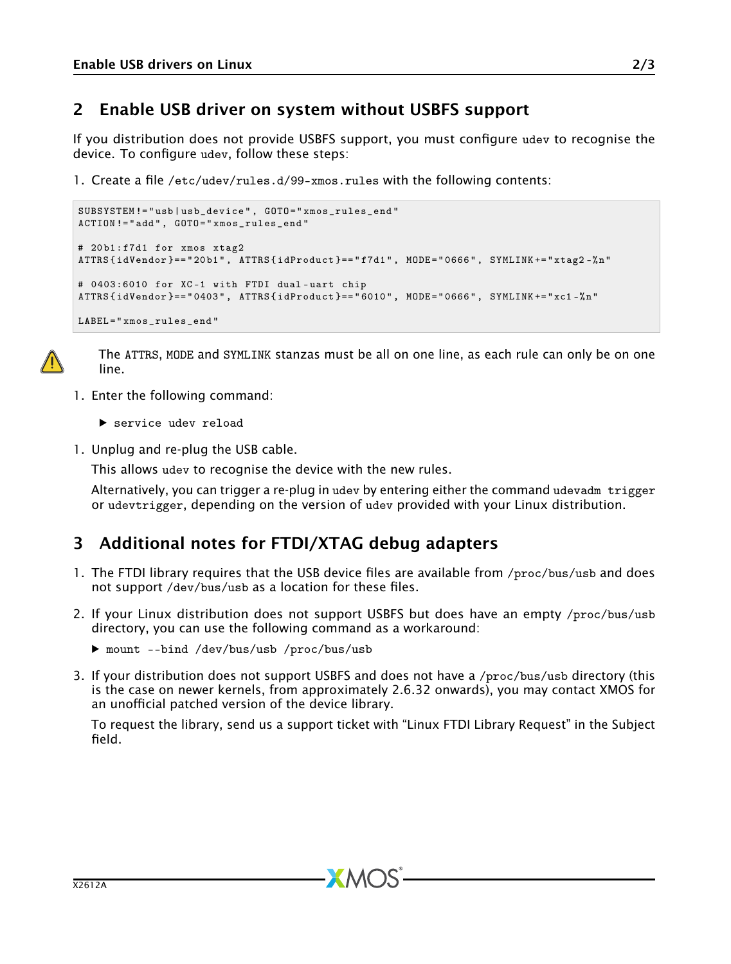## <span id="page-1-0"></span>2 Enable USB driver on system without USBFS support

If you distribution does not provide USBFS support, you must configure udev to recognise the device. To configure udev, follow these steps:

1. Create a file /etc/udev/rules.d/99-xmos.rules with the following contents:

```
SUBSYSTEM != " usb | usb_device " , GOTO =" xmos_rules_end "
ACTION != " add " , GOTO =" xmos_rules_end "
# 20 b1 : f7d1 for xmos xtag2
ATTRS { idVendor }== " 20 b1 " , ATTRS { idProduct }== " f7d1 " , MODE =" 0666 " , SYMLINK += " xtag2 -% n "
# 0403:6010 for XC -1 with FTDI dual - uart chip
ATTRS { idVendor }== " 0403 " , ATTRS { idProduct }== " 6010 " , MODE =" 0666 " , SYMLINK += " xc1 -% n"
LABEL =" xmos_rules_end "
```


The ATTRS, MODE and SYMLINK stanzas must be all on one line, as each rule can only be on one line.

- 1. Enter the following command:
	- $\blacktriangleright$  service udev reload
- 1. Unplug and re-plug the USB cable.

This allows udev to recognise the device with the new rules.

<span id="page-1-1"></span>Alternatively, you can trigger a re-plug in udev by entering either the command udevadm trigger or udevtrigger, depending on the version of udev provided with your Linux distribution.

## 3 Additional notes for FTDI/XTAG debug adapters

- 1. The FTDI library requires that the USB device files are available from /proc/bus/usb and does not support /dev/bus/usb as a location for these files.
- 2. If your Linux distribution does not support USBFS but does have an empty /proc/bus/usb directory, you can use the following command as a workaround:
	- · mount --bind /dev/bus/usb /proc/bus/usb
- 3. If your distribution does not support USBFS and does not have a /proc/bus/usb directory (this is the case on newer kernels, from approximately 2.6.32 onwards), you may contact XMOS for an unofficial patched version of the device library.

To request the library, send us a support ticket with "Linux FTDI Library Request" in the Subject field.

 $RM<sub>2</sub>$